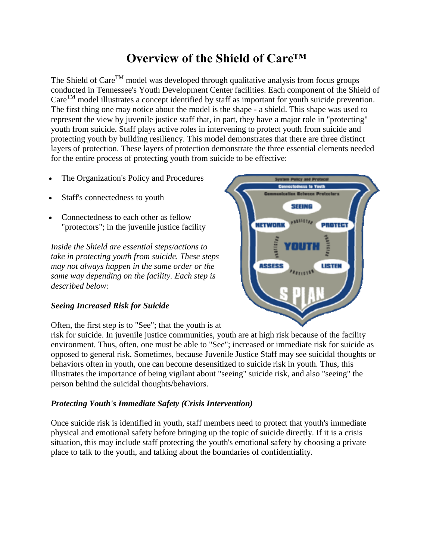# **Overview of the Shield of Care™**

The Shield of  $\text{Care}^{\text{TM}}$  model was developed through qualitative analysis from focus groups conducted in Tennessee's Youth Development Center facilities. Each component of the Shield of  $\text{Care}^{\text{TM}}$  model illustrates a concept identified by staff as important for youth suicide prevention. The first thing one may notice about the model is the shape - a shield. This shape was used to represent the view by juvenile justice staff that, in part, they have a major role in "protecting" youth from suicide. Staff plays active roles in intervening to protect youth from suicide and protecting youth by building resiliency. This model demonstrates that there are three distinct layers of protection. These layers of protection demonstrate the three essential elements needed for the entire process of protecting youth from suicide to be effective:

- The Organization's Policy and Procedures
- Staff's connectedness to youth
- Connectedness to each other as fellow "protectors"; in the juvenile justice facility

*Inside the Shield are essential steps/actions to take in protecting youth from suicide. These steps may not always happen in the same order or the same way depending on the facility. Each step is described below:*

## *Seeing Increased Risk for Suicide*

Often, the first step is to "See"; that the youth is at

risk for suicide. In juvenile justice communities, youth are at high risk because of the facility environment. Thus, often, one must be able to "See"; increased or immediate risk for suicide as opposed to general risk. Sometimes, because Juvenile Justice Staff may see suicidal thoughts or behaviors often in youth, one can become desensitized to suicide risk in youth. Thus, this illustrates the importance of being vigilant about "seeing" suicide risk, and also "seeing" the person behind the suicidal thoughts/behaviors.

## *Protecting Youth's Immediate Safety (Crisis Intervention)*

Once suicide risk is identified in youth, staff members need to protect that youth's immediate physical and emotional safety before bringing up the topic of suicide directly. If it is a crisis situation, this may include staff protecting the youth's emotional safety by choosing a private place to talk to the youth, and talking about the boundaries of confidentiality.